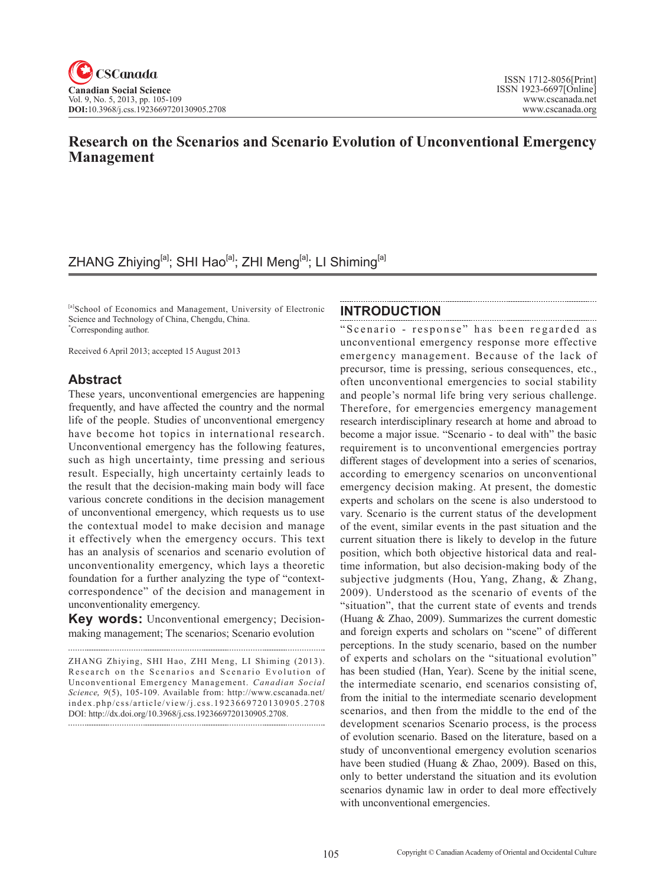# **Research on the Scenarios and Scenario Evolution of Unconventional Emergency Management**

# ZHANG Zhiying<sup>[a]</sup>; SHI Hao<sup>[a]</sup>; ZHI Meng<sup>[a]</sup>; LI Shiming<sup>[a]</sup>

[a]School of Economics and Management, University of Electronic Science and Technology of China, Chengdu, China. \* Corresponding author.

Received 6 April 2013; accepted 15 August 2013

## **Abstract**

These years, unconventional emergencies are happening frequently, and have affected the country and the normal life of the people. Studies of unconventional emergency have become hot topics in international research. Unconventional emergency has the following features, such as high uncertainty, time pressing and serious result. Especially, high uncertainty certainly leads to the result that the decision-making main body will face various concrete conditions in the decision management of unconventional emergency, which requests us to use the contextual model to make decision and manage it effectively when the emergency occurs. This text has an analysis of scenarios and scenario evolution of unconventionality emergency, which lays a theoretic foundation for a further analyzing the type of "contextcorrespondence" of the decision and management in unconventionality emergency.

**Key words:** Unconventional emergency; Decisionmaking management; The scenarios; Scenario evolution

## **INTRODUCTION**

"Scenario - response" has been regarded as unconventional emergency response more effective emergency management. Because of the lack of precursor, time is pressing, serious consequences, etc., often unconventional emergencies to social stability and people's normal life bring very serious challenge. Therefore, for emergencies emergency management research interdisciplinary research at home and abroad to become a major issue. "Scenario - to deal with" the basic requirement is to unconventional emergencies portray different stages of development into a series of scenarios, according to emergency scenarios on unconventional emergency decision making. At present, the domestic experts and scholars on the scene is also understood to vary. Scenario is the current status of the development of the event, similar events in the past situation and the current situation there is likely to develop in the future position, which both objective historical data and realtime information, but also decision-making body of the subjective judgments (Hou, Yang, Zhang, & Zhang, 2009). Understood as the scenario of events of the "situation", that the current state of events and trends (Huang & Zhao, 2009). Summarizes the current domestic and foreign experts and scholars on "scene" of different perceptions. In the study scenario, based on the number of experts and scholars on the "situational evolution" has been studied (Han, Year). Scene by the initial scene, the intermediate scenario, end scenarios consisting of, from the initial to the intermediate scenario development scenarios, and then from the middle to the end of the development scenarios Scenario process, is the process of evolution scenario. Based on the literature, based on a study of unconventional emergency evolution scenarios have been studied (Huang & Zhao, 2009). Based on this, only to better understand the situation and its evolution scenarios dynamic law in order to deal more effectively with unconventional emergencies.

ZHANG Zhiying, SHI Hao, ZHI Meng, LI Shiming (2013). Research on the Scenarios and Scenario Evolution of Unconventional Emergency Management. *Canadian Social Science*, 9(5), 105-109. Available from: http://www.cscanada.net/ index.php/css/article/view/j.css.1923669720130905.2708 DOI: http://dx.doi.org/10.3968/j.css.1923669720130905.2708.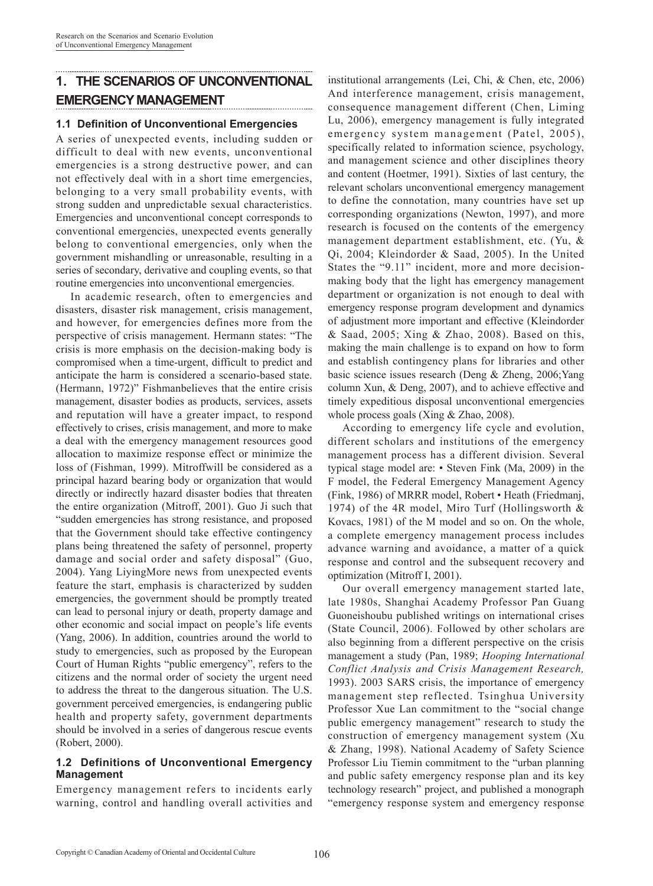## **1. THE SCENARIOS OF UNCONVENTIONAL EMERGENCY MANAGEMENT**

#### **1.1 Definition of Unconventional Emergencies**

A series of unexpected events, including sudden or difficult to deal with new events, unconventional emergencies is a strong destructive power, and can not effectively deal with in a short time emergencies, belonging to a very small probability events, with strong sudden and unpredictable sexual characteristics. Emergencies and unconventional concept corresponds to conventional emergencies, unexpected events generally belong to conventional emergencies, only when the government mishandling or unreasonable, resulting in a series of secondary, derivative and coupling events, so that routine emergencies into unconventional emergencies.

In academic research, often to emergencies and disasters, disaster risk management, crisis management, and however, for emergencies defines more from the perspective of crisis management. Hermann states: "The crisis is more emphasis on the decision-making body is compromised when a time-urgent, difficult to predict and anticipate the harm is considered a scenario-based state. (Hermann, 1972)" Fishmanbelieves that the entire crisis management, disaster bodies as products, services, assets and reputation will have a greater impact, to respond effectively to crises, crisis management, and more to make a deal with the emergency management resources good allocation to maximize response effect or minimize the loss of (Fishman, 1999). Mitroffwill be considered as a principal hazard bearing body or organization that would directly or indirectly hazard disaster bodies that threaten the entire organization (Mitroff, 2001). Guo Ji such that "sudden emergencies has strong resistance, and proposed that the Government should take effective contingency plans being threatened the safety of personnel, property damage and social order and safety disposal" (Guo, 2004). Yang LiyingMore news from unexpected events feature the start, emphasis is characterized by sudden emergencies, the government should be promptly treated can lead to personal injury or death, property damage and other economic and social impact on people's life events (Yang, 2006). In addition, countries around the world to study to emergencies, such as proposed by the European Court of Human Rights "public emergency", refers to the citizens and the normal order of society the urgent need to address the threat to the dangerous situation. The U.S. government perceived emergencies, is endangering public health and property safety, government departments should be involved in a series of dangerous rescue events (Robert, 2000).

#### **1.2 Definitions of Unconventional Emergency Management**

Emergency management refers to incidents early warning, control and handling overall activities and

institutional arrangements (Lei, Chi, & Chen, etc, 2006) And interference management, crisis management, consequence management different (Chen, Liming Lu, 2006), emergency management is fully integrated emergency system management (Patel, 2005), specifically related to information science, psychology, and management science and other disciplines theory and content (Hoetmer, 1991). Sixties of last century, the relevant scholars unconventional emergency management to define the connotation, many countries have set up corresponding organizations (Newton, 1997), and more research is focused on the contents of the emergency management department establishment, etc. (Yu, & Qi, 2004; Kleindorder & Saad, 2005). In the United States the "9.11" incident, more and more decisionmaking body that the light has emergency management department or organization is not enough to deal with emergency response program development and dynamics of adjustment more important and effective (Kleindorder & Saad, 2005; Xing & Zhao, 2008). Based on this, making the main challenge is to expand on how to form and establish contingency plans for libraries and other basic science issues research (Deng & Zheng, 2006;Yang column Xun, & Deng, 2007), and to achieve effective and timely expeditious disposal unconventional emergencies whole process goals (Xing & Zhao, 2008).

According to emergency life cycle and evolution, different scholars and institutions of the emergency management process has a different division. Several typical stage model are: • Steven Fink (Ma, 2009) in the F model, the Federal Emergency Management Agency (Fink, 1986) of MRRR model, Robert • Heath (Friedmanj, 1974) of the 4R model, Miro Turf (Hollingsworth & Kovacs, 1981) of the M model and so on. On the whole, a complete emergency management process includes advance warning and avoidance, a matter of a quick response and control and the subsequent recovery and optimization (Mitroff I, 2001).

Our overall emergency management started late, late 1980s, Shanghai Academy Professor Pan Guang Guoneishoubu published writings on international crises (State Council, 2006). Followed by other scholars are also beginning from a different perspective on the crisis management a study (Pan, 1989; *Hooping International Conflict Analysis and Crisis Management Research,*  1993). 2003 SARS crisis, the importance of emergency management step reflected. Tsinghua University Professor Xue Lan commitment to the "social change public emergency management" research to study the construction of emergency management system (Xu & Zhang, 1998). National Academy of Safety Science Professor Liu Tiemin commitment to the "urban planning and public safety emergency response plan and its key technology research" project, and published a monograph "emergency response system and emergency response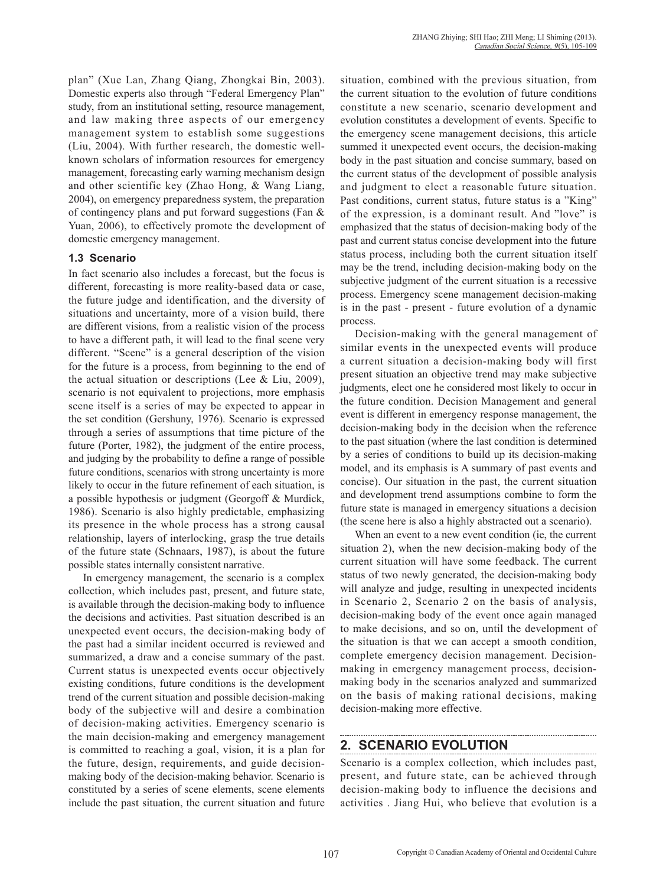plan" (Xue Lan, Zhang Qiang, Zhongkai Bin, 2003). Domestic experts also through "Federal Emergency Plan" study, from an institutional setting, resource management, and law making three aspects of our emergency management system to establish some suggestions (Liu, 2004). With further research, the domestic wellknown scholars of information resources for emergency management, forecasting early warning mechanism design and other scientific key (Zhao Hong, & Wang Liang, 2004), on emergency preparedness system, the preparation of contingency plans and put forward suggestions (Fan & Yuan, 2006), to effectively promote the development of domestic emergency management.

### **1.3 Scenario**

In fact scenario also includes a forecast, but the focus is different, forecasting is more reality-based data or case, the future judge and identification, and the diversity of situations and uncertainty, more of a vision build, there are different visions, from a realistic vision of the process to have a different path, it will lead to the final scene very different. "Scene" is a general description of the vision for the future is a process, from beginning to the end of the actual situation or descriptions (Lee & Liu, 2009), scenario is not equivalent to projections, more emphasis scene itself is a series of may be expected to appear in the set condition (Gershuny, 1976). Scenario is expressed through a series of assumptions that time picture of the future (Porter, 1982), the judgment of the entire process, and judging by the probability to define a range of possible future conditions, scenarios with strong uncertainty is more likely to occur in the future refinement of each situation, is a possible hypothesis or judgment (Georgoff & Murdick, 1986). Scenario is also highly predictable, emphasizing its presence in the whole process has a strong causal relationship, layers of interlocking, grasp the true details of the future state (Schnaars, 1987), is about the future possible states internally consistent narrative.

In emergency management, the scenario is a complex collection, which includes past, present, and future state, is available through the decision-making body to influence the decisions and activities. Past situation described is an unexpected event occurs, the decision-making body of the past had a similar incident occurred is reviewed and summarized, a draw and a concise summary of the past. Current status is unexpected events occur objectively existing conditions, future conditions is the development trend of the current situation and possible decision-making body of the subjective will and desire a combination of decision-making activities. Emergency scenario is the main decision-making and emergency management is committed to reaching a goal, vision, it is a plan for the future, design, requirements, and guide decisionmaking body of the decision-making behavior. Scenario is constituted by a series of scene elements, scene elements include the past situation, the current situation and future situation, combined with the previous situation, from the current situation to the evolution of future conditions constitute a new scenario, scenario development and evolution constitutes a development of events. Specific to the emergency scene management decisions, this article summed it unexpected event occurs, the decision-making body in the past situation and concise summary, based on the current status of the development of possible analysis and judgment to elect a reasonable future situation. Past conditions, current status, future status is a "King" of the expression, is a dominant result. And "love" is emphasized that the status of decision-making body of the past and current status concise development into the future status process, including both the current situation itself may be the trend, including decision-making body on the subjective judgment of the current situation is a recessive process. Emergency scene management decision-making is in the past - present - future evolution of a dynamic process.

Decision-making with the general management of similar events in the unexpected events will produce a current situation a decision-making body will first present situation an objective trend may make subjective judgments, elect one he considered most likely to occur in the future condition. Decision Management and general event is different in emergency response management, the decision-making body in the decision when the reference to the past situation (where the last condition is determined by a series of conditions to build up its decision-making model, and its emphasis is A summary of past events and concise). Our situation in the past, the current situation and development trend assumptions combine to form the future state is managed in emergency situations a decision (the scene here is also a highly abstracted out a scenario).

When an event to a new event condition (ie, the current situation 2), when the new decision-making body of the current situation will have some feedback. The current status of two newly generated, the decision-making body will analyze and judge, resulting in unexpected incidents in Scenario 2, Scenario 2 on the basis of analysis, decision-making body of the event once again managed to make decisions, and so on, until the development of the situation is that we can accept a smooth condition, complete emergency decision management. Decisionmaking in emergency management process, decisionmaking body in the scenarios analyzed and summarized on the basis of making rational decisions, making decision-making more effective.

## **2. SCENARIO EVOLUTION**

Scenario is a complex collection, which includes past, present, and future state, can be achieved through decision-making body to influence the decisions and activities . Jiang Hui, who believe that evolution is a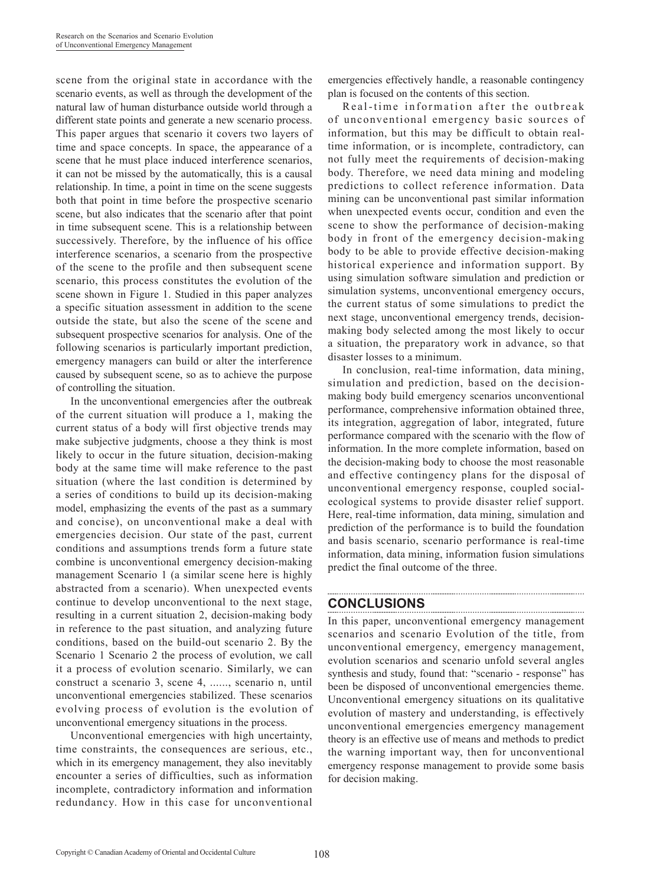scene from the original state in accordance with the scenario events, as well as through the development of the natural law of human disturbance outside world through a different state points and generate a new scenario process. This paper argues that scenario it covers two layers of time and space concepts. In space, the appearance of a scene that he must place induced interference scenarios, it can not be missed by the automatically, this is a causal relationship. In time, a point in time on the scene suggests both that point in time before the prospective scenario scene, but also indicates that the scenario after that point in time subsequent scene. This is a relationship between successively. Therefore, by the influence of his office interference scenarios, a scenario from the prospective of the scene to the profile and then subsequent scene scenario, this process constitutes the evolution of the scene shown in Figure 1. Studied in this paper analyzes a specific situation assessment in addition to the scene outside the state, but also the scene of the scene and subsequent prospective scenarios for analysis. One of the following scenarios is particularly important prediction, emergency managers can build or alter the interference caused by subsequent scene, so as to achieve the purpose of controlling the situation.

In the unconventional emergencies after the outbreak of the current situation will produce a 1, making the current status of a body will first objective trends may make subjective judgments, choose a they think is most likely to occur in the future situation, decision-making body at the same time will make reference to the past situation (where the last condition is determined by a series of conditions to build up its decision-making model, emphasizing the events of the past as a summary and concise), on unconventional make a deal with emergencies decision. Our state of the past, current conditions and assumptions trends form a future state combine is unconventional emergency decision-making management Scenario 1 (a similar scene here is highly abstracted from a scenario). When unexpected events continue to develop unconventional to the next stage, resulting in a current situation 2, decision-making body in reference to the past situation, and analyzing future conditions, based on the build-out scenario 2. By the Scenario 1 Scenario 2 the process of evolution, we call it a process of evolution scenario. Similarly, we can construct a scenario 3, scene 4, ......, scenario n, until unconventional emergencies stabilized. These scenarios evolving process of evolution is the evolution of unconventional emergency situations in the process.

Unconventional emergencies with high uncertainty, time constraints, the consequences are serious, etc., which in its emergency management, they also inevitably encounter a series of difficulties, such as information incomplete, contradictory information and information redundancy. How in this case for unconventional emergencies effectively handle, a reasonable contingency plan is focused on the contents of this section.

Real-time information after the outbreak of unconventional emergency basic sources of information, but this may be difficult to obtain realtime information, or is incomplete, contradictory, can not fully meet the requirements of decision-making body. Therefore, we need data mining and modeling predictions to collect reference information. Data mining can be unconventional past similar information when unexpected events occur, condition and even the scene to show the performance of decision-making body in front of the emergency decision-making body to be able to provide effective decision-making historical experience and information support. By using simulation software simulation and prediction or simulation systems, unconventional emergency occurs, the current status of some simulations to predict the next stage, unconventional emergency trends, decisionmaking body selected among the most likely to occur a situation, the preparatory work in advance, so that disaster losses to a minimum.

In conclusion, real-time information, data mining, simulation and prediction, based on the decisionmaking body build emergency scenarios unconventional performance, comprehensive information obtained three, its integration, aggregation of labor, integrated, future performance compared with the scenario with the flow of information. In the more complete information, based on the decision-making body to choose the most reasonable and effective contingency plans for the disposal of unconventional emergency response, coupled socialecological systems to provide disaster relief support. Here, real-time information, data mining, simulation and prediction of the performance is to build the foundation and basis scenario, scenario performance is real-time information, data mining, information fusion simulations predict the final outcome of the three.

## **CONCLUSIONS**

In this paper, unconventional emergency management scenarios and scenario Evolution of the title, from unconventional emergency, emergency management, evolution scenarios and scenario unfold several angles synthesis and study, found that: "scenario - response" has been be disposed of unconventional emergencies theme. Unconventional emergency situations on its qualitative evolution of mastery and understanding, is effectively unconventional emergencies emergency management theory is an effective use of means and methods to predict the warning important way, then for unconventional emergency response management to provide some basis for decision making.